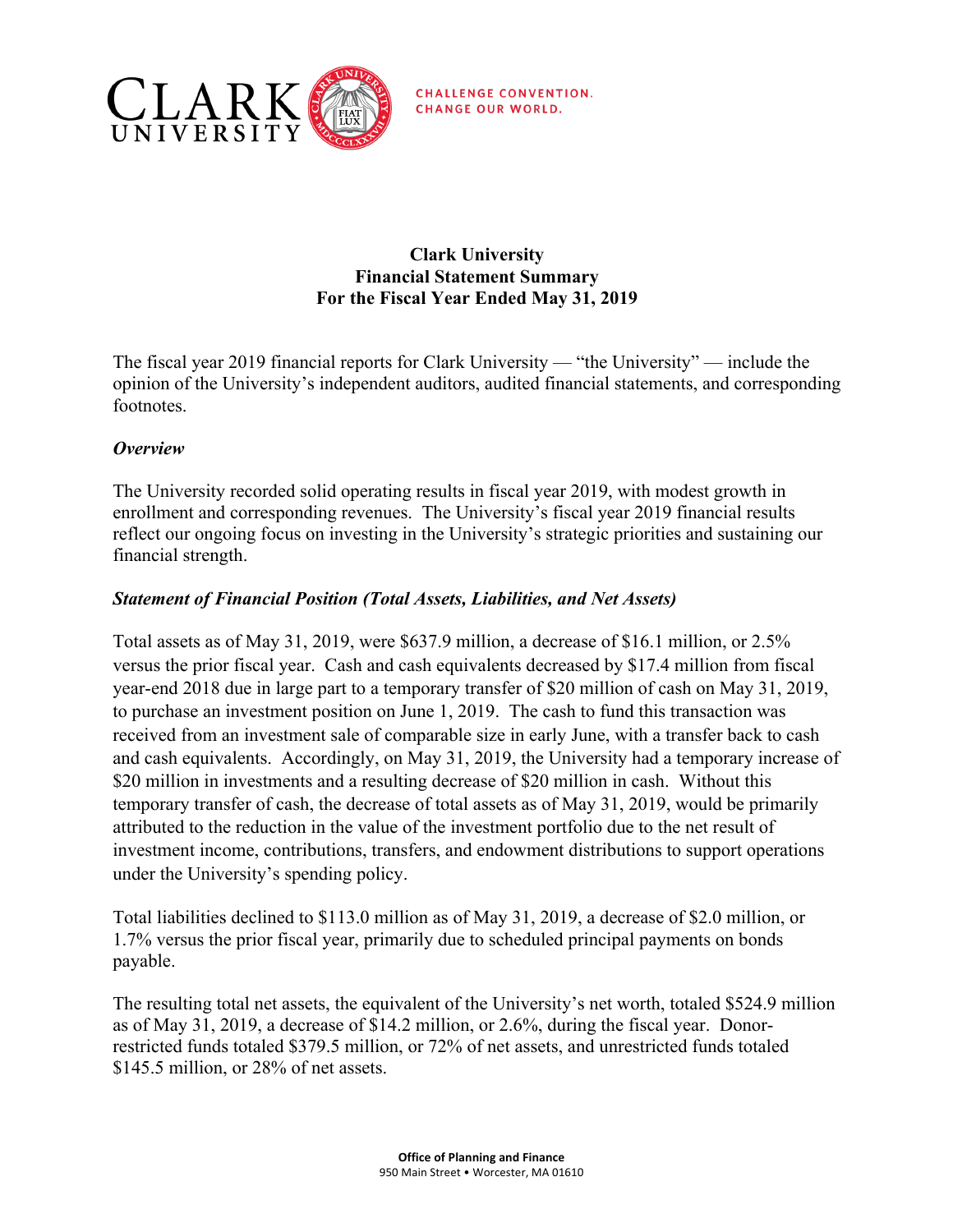

**CHALLENGE CONVENTION. CHANGE OUR WORLD.** 

# **Clark University Financial Statement Summary For the Fiscal Year Ended May 31, 2019**

 The fiscal year 2019 financial reports for Clark University — "the University" — include the opinion of the University's independent auditors, audited financial statements, and corresponding footnotes.

# *Overview*

 reflect our ongoing focus on investing in the University's strategic priorities and sustaining our The University recorded solid operating results in fiscal year 2019, with modest growth in enrollment and corresponding revenues. The University's fiscal year 2019 financial results financial strength.

# *Statement of Financial Position (Total Assets, Liabilities, and Net Assets)*

 Total assets as of May 31, 2019, were \$637.9 million, a decrease of \$16.1 million, or 2.5% versus the prior fiscal year. Cash and cash equivalents decreased by \$17.4 million from fiscal year-end 2018 due in large part to a temporary transfer of \$20 million of cash on May 31, 2019, \$20 million in investments and a resulting decrease of \$20 million in cash. Without this temporary transfer of cash, the decrease of total assets as of May 31, 2019, would be primarily attributed to the reduction in the value of the investment portfolio due to the net result of to purchase an investment position on June 1, 2019. The cash to fund this transaction was received from an investment sale of comparable size in early June, with a transfer back to cash and cash equivalents. Accordingly, on May 31, 2019, the University had a temporary increase of investment income, contributions, transfers, and endowment distributions to support operations under the University's spending policy.

 Total liabilities declined to \$113.0 million as of May 31, 2019, a decrease of \$2.0 million, or 1.7% versus the prior fiscal year, primarily due to scheduled principal payments on bonds payable.

 as of May 31, 2019, a decrease of \$14.2 million, or 2.6%, during the fiscal year. Donor- restricted funds totaled \$379.5 million, or 72% of net assets, and unrestricted funds totaled The resulting total net assets, the equivalent of the University's net worth, totaled \$524.9 million \$145.5 million, or 28% of net assets.